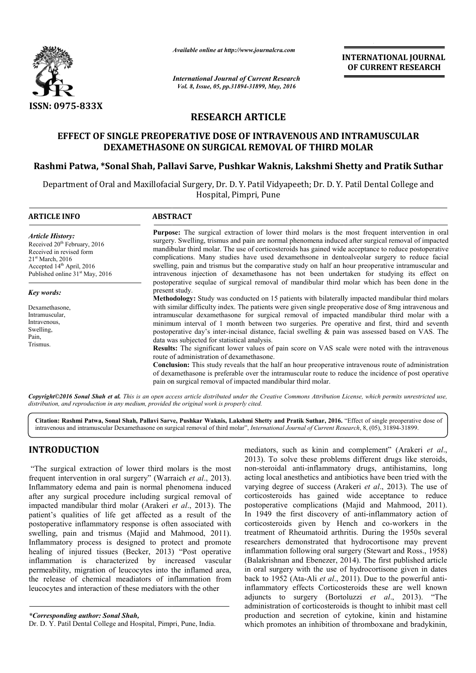

*Available online at http://www.journalcra.com*

# **RESEARCH ARTICLE**

## **EFFECT OF SINGLE PREOPERATIVE DOSE OF INTRAVENOUS AND INTR DOSE OF INTRAMUSCULAR DEXAMETHASONE ON SURGICAL REMOVAL OF THIRD MOLAR OF THIRD**

## Rashmi Patwa, \*Sonal Shah, Pallavi Sarve, Pushkar Waknis, Lakshmi Shetty and Pratik Suthar

|                                                                                                                                                                                                                         |                                                                                                                                                                                                                                                                                                                                                                                                                                                                                                                                                                                                                                                                                                                                                                                                                              |                                                              | <b>INTERNATIONAL JOURNAL</b><br>OF CURRENT RESEARCH                                                                                                                                                                                                                                                                                                                                                                                                                                                                                                                                                                                                                                                                                                                                                                                                                                                                                                                                                                               |
|-------------------------------------------------------------------------------------------------------------------------------------------------------------------------------------------------------------------------|------------------------------------------------------------------------------------------------------------------------------------------------------------------------------------------------------------------------------------------------------------------------------------------------------------------------------------------------------------------------------------------------------------------------------------------------------------------------------------------------------------------------------------------------------------------------------------------------------------------------------------------------------------------------------------------------------------------------------------------------------------------------------------------------------------------------------|--------------------------------------------------------------|-----------------------------------------------------------------------------------------------------------------------------------------------------------------------------------------------------------------------------------------------------------------------------------------------------------------------------------------------------------------------------------------------------------------------------------------------------------------------------------------------------------------------------------------------------------------------------------------------------------------------------------------------------------------------------------------------------------------------------------------------------------------------------------------------------------------------------------------------------------------------------------------------------------------------------------------------------------------------------------------------------------------------------------|
|                                                                                                                                                                                                                         | <b>International Journal of Current Research</b><br>Vol. 8, Issue, 05, pp.31894-31899, May, 2016                                                                                                                                                                                                                                                                                                                                                                                                                                                                                                                                                                                                                                                                                                                             |                                                              |                                                                                                                                                                                                                                                                                                                                                                                                                                                                                                                                                                                                                                                                                                                                                                                                                                                                                                                                                                                                                                   |
| ISSN: 0975-833X                                                                                                                                                                                                         |                                                                                                                                                                                                                                                                                                                                                                                                                                                                                                                                                                                                                                                                                                                                                                                                                              |                                                              |                                                                                                                                                                                                                                                                                                                                                                                                                                                                                                                                                                                                                                                                                                                                                                                                                                                                                                                                                                                                                                   |
|                                                                                                                                                                                                                         |                                                                                                                                                                                                                                                                                                                                                                                                                                                                                                                                                                                                                                                                                                                                                                                                                              | <b>RESEARCH ARTICLE</b>                                      |                                                                                                                                                                                                                                                                                                                                                                                                                                                                                                                                                                                                                                                                                                                                                                                                                                                                                                                                                                                                                                   |
|                                                                                                                                                                                                                         | <b>EFFECT OF SINGLE PREOPERATIVE DOSE OF INTRAVENOUS AND INTRAMUSCULAR</b><br>DEXAMETHASONE ON SURGICAL REMOVAL OF THIRD MOLAR                                                                                                                                                                                                                                                                                                                                                                                                                                                                                                                                                                                                                                                                                               |                                                              |                                                                                                                                                                                                                                                                                                                                                                                                                                                                                                                                                                                                                                                                                                                                                                                                                                                                                                                                                                                                                                   |
|                                                                                                                                                                                                                         |                                                                                                                                                                                                                                                                                                                                                                                                                                                                                                                                                                                                                                                                                                                                                                                                                              |                                                              | Rashmi Patwa, *Sonal Shah, Pallavi Sarve, Pushkar Waknis, Lakshmi Shetty and Pratik Suthar                                                                                                                                                                                                                                                                                                                                                                                                                                                                                                                                                                                                                                                                                                                                                                                                                                                                                                                                        |
|                                                                                                                                                                                                                         |                                                                                                                                                                                                                                                                                                                                                                                                                                                                                                                                                                                                                                                                                                                                                                                                                              | Hospital, Pimpri, Pune                                       | Department of Oral and Maxillofacial Surgery, Dr. D. Y. Patil Vidyapeeth; Dr. D. Y. Patil Dental College and                                                                                                                                                                                                                                                                                                                                                                                                                                                                                                                                                                                                                                                                                                                                                                                                                                                                                                                      |
| <b>ARTICLE INFO</b>                                                                                                                                                                                                     | <b>ABSTRACT</b>                                                                                                                                                                                                                                                                                                                                                                                                                                                                                                                                                                                                                                                                                                                                                                                                              |                                                              |                                                                                                                                                                                                                                                                                                                                                                                                                                                                                                                                                                                                                                                                                                                                                                                                                                                                                                                                                                                                                                   |
| <b>Article History:</b><br>Received 20 <sup>th</sup> February, 2016<br>Received in revised form<br>21 <sup>st</sup> March, 2016<br>Accepted 14 <sup>th</sup> April, 2016<br>Published online 31 <sup>st</sup> May, 2016 | Purpose: The surgical extraction of lower third molars is the most frequent intervention in oral<br>surgery. Swelling, trismus and pain are normal phenomena induced after surgical removal of impacted<br>mandibular third molar. The use of corticosteroids has gained wide acceptance to reduce postoperative<br>complications. Many studies have used dexamethsone in dentoalveolar surgery to reduce facial<br>swelling, pain and trismus but the comparative study on half an hour preoperative intramuscular and<br>intravenous injection of dexamethasone has not been undertaken for studying its effect on<br>postoperative sequlae of surgical removal of mandibular third molar which has been done in the                                                                                                       |                                                              |                                                                                                                                                                                                                                                                                                                                                                                                                                                                                                                                                                                                                                                                                                                                                                                                                                                                                                                                                                                                                                   |
| Key words:                                                                                                                                                                                                              | present study.                                                                                                                                                                                                                                                                                                                                                                                                                                                                                                                                                                                                                                                                                                                                                                                                               |                                                              |                                                                                                                                                                                                                                                                                                                                                                                                                                                                                                                                                                                                                                                                                                                                                                                                                                                                                                                                                                                                                                   |
| Dexamethasone,<br>Intramuscular,<br>Intravenous,<br>Swelling,<br>Pain,<br>Trismus.                                                                                                                                      | Methodology: Study was conducted on 15 patients with bilaterally impacted mandibular third molars<br>with similar difficulty index. The patients were given single preoperative dose of 8mg intravenous and<br>intramuscular dexamethasone for surgical removal of impacted mandibular third molar with a<br>minimum interval of 1 month between two surgeries. Pre operative and first, third and seventh<br>postoperative day's inter-incisal distance, facial swelling $\&$ pain was assessed based on VAS. The<br>data was subjected for statistical analysis.<br>Results: The significant lower values of pain score on VAS scale were noted with the intravenous<br>route of administration of dexamethasone.<br>Conclusion: This study reveals that the half an hour preoperative intravenous route of administration |                                                              |                                                                                                                                                                                                                                                                                                                                                                                                                                                                                                                                                                                                                                                                                                                                                                                                                                                                                                                                                                                                                                   |
|                                                                                                                                                                                                                         |                                                                                                                                                                                                                                                                                                                                                                                                                                                                                                                                                                                                                                                                                                                                                                                                                              | pain on surgical removal of impacted mandibular third molar. | of dexamethasone is preferable over the intramuscular route to reduce the incidence of post operative                                                                                                                                                                                                                                                                                                                                                                                                                                                                                                                                                                                                                                                                                                                                                                                                                                                                                                                             |
|                                                                                                                                                                                                                         | distribution, and reproduction in any medium, provided the original work is properly cited.                                                                                                                                                                                                                                                                                                                                                                                                                                                                                                                                                                                                                                                                                                                                  |                                                              | Copyright©2016 Sonal Shah et al. This is an open access article distributed under the Creative Commons Attribution License, which permits unrestricted use,                                                                                                                                                                                                                                                                                                                                                                                                                                                                                                                                                                                                                                                                                                                                                                                                                                                                       |
|                                                                                                                                                                                                                         | intravenous and intramuscular Dexamethasone on surgical removal of third molar", International Journal of Current Research, 8, (05), 31894-31899.                                                                                                                                                                                                                                                                                                                                                                                                                                                                                                                                                                                                                                                                            |                                                              | Citation: Rashmi Patwa, Sonal Shah, Pallavi Sarve, Pushkar Waknis, Lakshmi Shetty and Pratik Suthar, 2016. "Effect of single preoperative dose of                                                                                                                                                                                                                                                                                                                                                                                                                                                                                                                                                                                                                                                                                                                                                                                                                                                                                 |
| <b>INTRODUCTION</b>                                                                                                                                                                                                     |                                                                                                                                                                                                                                                                                                                                                                                                                                                                                                                                                                                                                                                                                                                                                                                                                              |                                                              | mediators, such as kinin and complement" (Arakeri et al.,<br>2013). To solve these problems different drugs like steroids,                                                                                                                                                                                                                                                                                                                                                                                                                                                                                                                                                                                                                                                                                                                                                                                                                                                                                                        |
| leucocytes and interaction of these mediators with the other                                                                                                                                                            | "The surgical extraction of lower third molars is the most<br>frequent intervention in oral surgery" (Warraich et al., 2013).<br>Inflammatory edema and pain is normal phenomena induced<br>after any surgical procedure including surgical removal of<br>impacted mandibular third molar (Arakeri et al., 2013). The<br>patient's qualities of life get affected as a result of the<br>postoperative inflammatory response is often associated with<br>swelling, pain and trismus (Majid and Mahmood, 2011).<br>Inflammatory process is designed to protect and promote<br>healing of injured tissues (Becker, 2013) "Post operative<br>inflammation is characterized by increased vascular<br>permeability, migration of leucocytes into the inflamed area,<br>the release of chemical meadiators of inflammation from     |                                                              | non-steroidal anti-inflammatory drugs, antihistamins, long<br>acting local anesthetics and antibiotics have been tried with the<br>varying degree of success (Arakeri et al., 2013). The use of<br>corticosteroids has gained wide acceptance to reduce<br>postoperative complications (Majid and Mahmood, 2011).<br>In 1949 the first discovery of anti-inflammatory action of<br>corticosteroids given by Hench and co-workers in the<br>treatment of Rheumatoid arthritis. During the 1950s several<br>researchers demonstrated that hydrocortisone may prevent<br>inflammation following oral surgery (Stewart and Ross., 1958)<br>(Balakrishnan and Ebenezer, 2014). The first published article<br>in oral surgery with the use of hydrocortisone given in dates<br>back to 1952 (Ata-Ali et al., 2011). Due to the powerful anti-<br>inflammatory effects Corticosteroids these are well known<br>adjuncts to surgery (Bortoluzzi et al., 2013). "The<br>administration of corticosteroids is thought to inhibit mast cell |
| *Corresponding author: Sonal Shah,<br>Dr. D. Y. Patil Dental College and Hospital, Pimpri, Pune, India.                                                                                                                 |                                                                                                                                                                                                                                                                                                                                                                                                                                                                                                                                                                                                                                                                                                                                                                                                                              |                                                              | production and secretion of cytokine, kinin and histamine<br>which promotes an inhibition of thromboxane and bradykinin,                                                                                                                                                                                                                                                                                                                                                                                                                                                                                                                                                                                                                                                                                                                                                                                                                                                                                                          |

## **INTRODUCTION**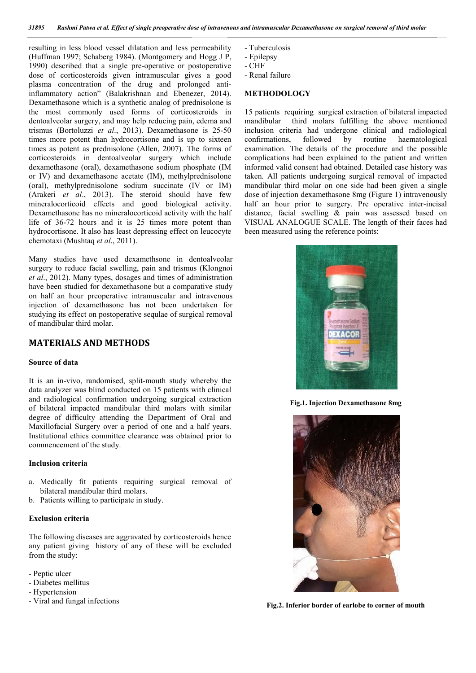resulting in less blood vessel dilatation and less permeability (Huffman 1997; Schaberg 1984). (Montgomery and Hogg J P, 1990) described that a single pre-operative or postoperative dose of corticosteroids given intramuscular gives a good plasma concentration of the drug and prolonged antiinflammatory action" (Balakrishnan and Ebenezer, 2014). Dexamethasone which is a synthetic analog of prednisolone is the most commonly used forms of corticosteroids in dentoalveolar surgery, and may help reducing pain, edema and trismus (Bortoluzzi *et al*., 2013). Dexamethasone is 25-50 times more potent than hydrocortisone and is up to sixteen times as potent as prednisolone (Allen, 2007). The forms of corticosteroids in dentoalveolar surgery which include dexamethasone (oral), dexamethasone sodium phosphate (IM or IV) and dexamethasone acetate (IM), methylprednisolone (oral), methylprednisolone sodium succinate (IV or IM) (Arakeri *et al*., 2013). The steroid should have few mineralocorticoid effects and good biological activity. Dexamethasone has no mineralocorticoid activity with the half life of 36-72 hours and it is 25 times more potent than hydrocortisone. It also has least depressing effect on leucocyte chemotaxi (Mushtaq *et al*., 2011).

Many studies have used dexamethsone in dentoalveolar surgery to reduce facial swelling, pain and trismus (Klongnoi *et al*., 2012). Many types, dosages and times of administration have been studied for dexamethasone but a comparative study on half an hour preoperative intramuscular and intravenous injection of dexamethasone has not been undertaken for studying its effect on postoperative sequlae of surgical removal of mandibular third molar.

## **MATERIALS AND METHODS**

#### **Source of data**

It is an in-vivo, randomised, split-mouth study whereby the data analyzer was blind conducted on 15 patients with clinical and radiological confirmation undergoing surgical extraction of bilateral impacted mandibular third molars with similar degree of difficulty attending the Department of Oral and Maxillofacial Surgery over a period of one and a half years. Institutional ethics committee clearance was obtained prior to commencement of the study.

### **Inclusion criteria**

- a. Medically fit patients requiring surgical removal of bilateral mandibular third molars.
- b. Patients willing to participate in study.

#### **Exclusion criteria**

The following diseases are aggravated by corticosteroids hence any patient giving history of any of these will be excluded from the study:

- Peptic ulcer
- Diabetes mellitus
- Hypertension
- Viral and fungal infections
- Tuberculosis
- Epilepsy
- CHF
- Renal failure

#### **METHODOLOGY**

15 patients requiring surgical extraction of bilateral impacted mandibular third molars fulfilling the above mentioned inclusion criteria had undergone clinical and radiological confirmations, followed by routine haematological examination. The details of the procedure and the possible complications had been explained to the patient and written informed valid consent had obtained. Detailed case history was taken. All patients undergoing surgical removal of impacted mandibular third molar on one side had been given a single dose of injection dexamethasone 8mg (Figure 1) intravenously half an hour prior to surgery. Pre operative inter-incisal distance, facial swelling & pain was assessed based on VISUAL ANALOGUE SCALE. The length of their faces had been measured using the reference points:



**Fig.1. Injection Dexamethasone 8mg**



**Fig.2. Inferior border of earlobe to corner of mouth**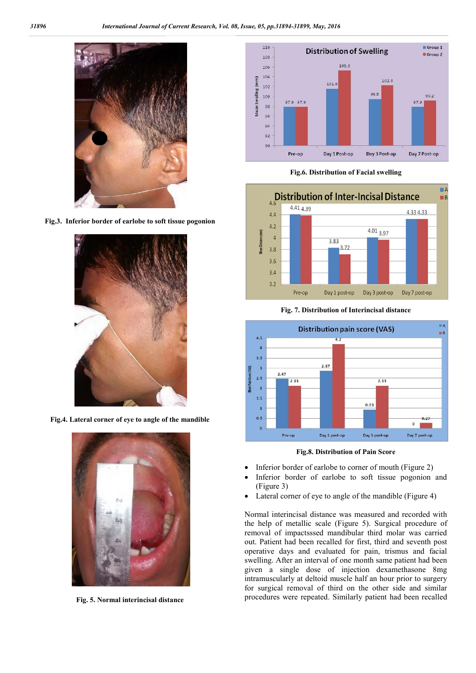

**Fig.3. Inferior border of earlobe to soft tissue pogonion**



**Fig.4. Lateral corner of eye to angle of the mandible**



**Fig. 5. Normal interincisal distance**



**Fig.6. Distribution of Facial swelling**



**Fig. 7. Distribution of Interincisal distance**



**Fig.8. Distribution of Pain Score**

- Inferior border of earlobe to corner of mouth (Figure 2)
- Inferior border of earlobe to soft tissue pogonion and (Figure 3)
- Lateral corner of eye to angle of the mandible (Figure 4)

Normal interincisal distance was measured and recorded with the help of metallic scale (Figure 5). Surgical procedure of removal of impactsssed mandibular third molar was carried out. Patient had been recalled for first, third and seventh post operative days and evaluated for pain, trismus and facial swelling. After an interval of one month same patient had been given a single dose of injection dexamethasone 8mg intramuscularly at deltoid muscle half an hour prior to surgery for surgical removal of third on the other side and similar procedures were repeated. Similarly patient had been recalled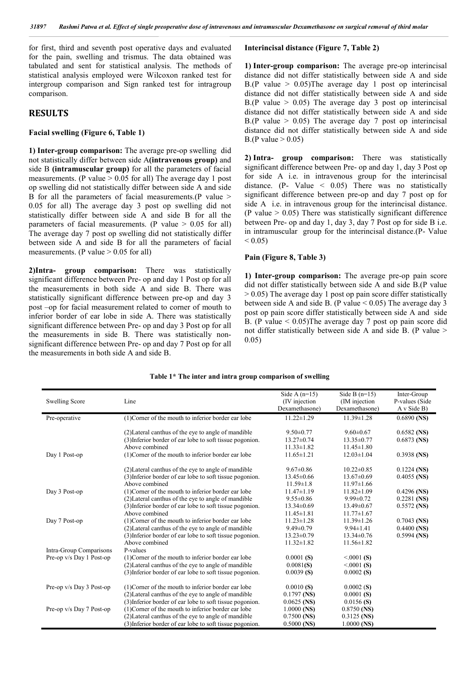for first, third and seventh post operative days and evaluated for the pain, swelling and trismus. The data obtained was tabulated and sent for statistical analysis. The methods of statistical analysis employed were Wilcoxon ranked test for intergroup comparison and Sign ranked test for intragroup comparison.

## **RESULTS**

#### **Facial swelling (Figure 6, Table 1)**

**1) Inter-group comparison:** The average pre-op swelling did not statistically differ between side A**(intravenous group)** and side B **(intramuscular group)** for all the parameters of facial measurements. (P value  $> 0.05$  for all) The average day 1 post op swelling did not statistically differ between side A and side B for all the parameters of facial measurements.(P value > 0.05 for all) The average day 3 post op swelling did not statistically differ between side A and side B for all the parameters of facial measurements. (P value  $> 0.05$  for all) The average day 7 post op swelling did not statistically differ between side A and side B for all the parameters of facial measurements. (P value  $> 0.05$  for all)

**2)Intra- group comparison:** There was statistically significant difference between Pre- op and day 1 Post op for all the measurements in both side A and side B. There was statistically significant difference between pre-op and day 3 post –op for facial measurement related to corner of mouth to inferior border of ear lobe in side A. There was statistically significant difference between Pre- op and day 3 Post op for all the measurements in side B. There was statistically nonsignificant difference between Pre- op and day 7 Post op for all the measurements in both side A and side B.

### **Interincisal distance (Figure 7, Table 2)**

**1) Inter-group comparison:** The average pre-op interincisal distance did not differ statistically between side A and side B.(P value  $> 0.05$ )The average day 1 post op interincisal distance did not differ statistically between side A and side B.(P value  $> 0.05$ ) The average day 3 post op interincisal distance did not differ statistically between side A and side B.(P value  $> 0.05$ ) The average day 7 post op interincisal distance did not differ statistically between side A and side B.(P value  $> 0.05$ )

**2) Intra- group comparison:** There was statistically significant difference between Pre- op and day 1, day 3 Post op for side A i.e. in intravenous group for the interincisal distance. (P- Value  $\leq$  0.05) There was no statistically significant difference between pre-op and day 7 post op for side A i.e. in intravenous group for the interincisal distance. (P value  $> 0.05$ ) There was statistically significant difference between Pre- op and day 1, day 3, day 7 Post op for side B i.e. in intramuscular group for the interincisal distance.(P- Value  $< 0.05$ )

### **Pain (Figure 8, Table 3)**

**1) Inter-group comparison:** The average pre-op pain score did not differ statistically between side A and side B.(P value  $> 0.05$ ) The average day 1 post op pain score differ statistically between side A and side B. (P value  $\leq 0.05$ ) The average day 3 post op pain score differ statistically between side A and side B. (P value < 0.05)The average day 7 post op pain score did not differ statistically between side A and side B. (P value > 0.05)

|  |  | Table 1* The inter and intra group comparison of swelling |  |
|--|--|-----------------------------------------------------------|--|
|  |  |                                                           |  |

|                          |                                                          | Side A $(n=15)$  | Side B $(n=15)$  | Inter-Group    |
|--------------------------|----------------------------------------------------------|------------------|------------------|----------------|
| <b>Swelling Score</b>    | Line                                                     | (IV injection)   | (IM injection)   | P-values (Side |
|                          |                                                          | Dexamethasone)   | Dexamethasone)   | A v Side B)    |
| Pre-operative            | (1) Corner of the mouth to inferior border ear lobe      | $11.22 \pm 1.29$ | $11.39 \pm 1.28$ | $0.6890$ (NS)  |
|                          | (2) Lateral can thus of the eye to angle of mandible     | $9.50 \pm 0.77$  | $9.60 \pm 0.67$  | $0.6582$ (NS)  |
|                          | (3) Inferior border of ear lobe to soft tissue pogonion. | $13.27 \pm 0.74$ | $13.35 \pm 0.77$ | $0.6873$ (NS)  |
|                          | Above combined                                           | $11.33 \pm 1.82$ | $11.45 \pm 1.80$ |                |
| Day 1 Post-op            | (1) Corner of the mouth to inferior border ear lobe      | $11.65 \pm 1.21$ | $12.03 \pm 1.04$ | $0.3938$ (NS)  |
|                          | (2) Lateral can thus of the eye to angle of mandible     | $9.67 \pm 0.86$  | $10.22 \pm 0.85$ | $0.1224$ (NS)  |
|                          | (3) Inferior border of ear lobe to soft tissue pogonion. | $13.45 \pm 0.66$ | $13.67 \pm 0.69$ | $0.4055$ (NS)  |
|                          | Above combined                                           | $11.59 \pm 1.8$  | $11.97 \pm 1.66$ |                |
| Day 3 Post-op            | (1) Corner of the mouth to inferior border ear lobe      | $11.47 \pm 1.19$ | $11.82 \pm 1.09$ | $0.4296$ (NS)  |
|                          | (2) Lateral can thus of the eye to angle of mandible     | $9.55 \pm 0.86$  | $9.99 \pm 0.72$  | $0.2281$ (NS)  |
|                          | (3) Inferior border of ear lobe to soft tissue pogonion. | $13.34\pm0.69$   | $13.49 \pm 0.67$ | $0.5572$ (NS)  |
|                          | Above combined                                           | $11.45 \pm 1.81$ | $11.77 \pm 1.67$ |                |
| Day 7 Post-op            | (1) Corner of the mouth to inferior border ear lobe      | $11.23 \pm 1.28$ | $11.39 \pm 1.26$ | $0.7043$ (NS)  |
|                          | (2) Lateral canthus of the eye to angle of mandible      | $9.49 \pm 0.79$  | $9.94 \pm 1.41$  | $0.4400$ (NS)  |
|                          | (3) Inferior border of ear lobe to soft tissue pogonion. | $13.23 \pm 0.79$ | $13.34 \pm 0.76$ | $0.5994$ (NS)  |
|                          | Above combined                                           | $11.32 \pm 1.82$ | $11.56 \pm 1.82$ |                |
| Intra-Group Comparisons  | P-values                                                 |                  |                  |                |
| Pre-op v/s Day 1 Post-op | (1) Corner of the mouth to inferior border ear lobe      | 0.0001(S)        | < 0001(S)        |                |
|                          | (2) Lateral canthus of the eye to angle of mandible      | 0.0081(S)        | < 0001(S)        |                |
|                          | (3) Inferior border of ear lobe to soft tissue pogonion. | 0.0039(S)        | 0.0002(S)        |                |
| Pre-op v/s Day 3 Post-op | (1) Corner of the mouth to inferior border ear lobe      | 0.0010(S)        | 0.0002(S)        |                |
|                          | (2) Lateral can thus of the eye to angle of mandible     | $0.1797$ (NS)    | 0.0001(S)        |                |
|                          | (3) Inferior border of ear lobe to soft tissue pogonion. | $0.0625$ (NS)    | 0.0156(S)        |                |
| Pre-op v/s Day 7 Post-op | (1) Corner of the mouth to inferior border ear lobe      | $1.0000$ (NS)    | $0.8750$ (NS)    |                |
|                          | (2) Lateral can thus of the eye to angle of mandible     | $0.7500$ (NS)    | $0.3125$ (NS)    |                |
|                          | (3) Inferior border of ear lobe to soft tissue pogonion. | $0.5000$ (NS)    | $1.0000$ (NS)    |                |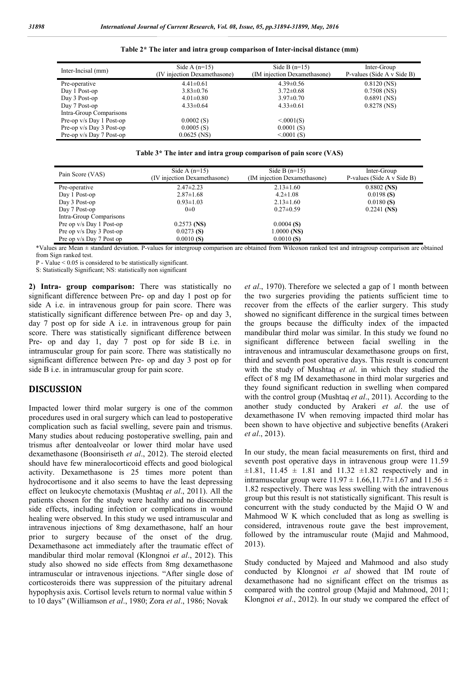| Inter-Incisal (mm)       | Side A $(n=15)$<br>(IV injection Dexamethasone) | Side B $(n=15)$<br>(IM injection Dexamethasone) | Inter-Group<br>P-values (Side A v Side B) |
|--------------------------|-------------------------------------------------|-------------------------------------------------|-------------------------------------------|
| Pre-operative            | $4.41 \pm 0.61$                                 | $4.39 \pm 0.56$                                 | $0.8120$ (NS)                             |
| Day 1 Post-op            | $3.83 \pm 0.76$                                 | $3.72 \pm 0.68$                                 | $0.7508$ (NS)                             |
| Day 3 Post-op            | $4.01 \pm 0.80$                                 | $3.97 \pm 0.70$                                 | $0.6891$ (NS)                             |
| Day 7 Post-op            | $4.33 \pm 0.64$                                 | $4.33 \pm 0.61$                                 | $0.8278$ (NS)                             |
| Intra-Group Comparisons  |                                                 |                                                 |                                           |
| Pre-op v/s Day 1 Post-op | 0.0002(S)                                       | < 0.001(S)                                      |                                           |
| Pre-op v/s Day 3 Post-op | 0.0005(S)                                       | 0.0001(S)                                       |                                           |
| Pre-op v/s Day 7 Post-op | $0.0625$ (NS)                                   | < 0001(S)                                       |                                           |

**Table 2\* The inter and intra group comparison of Inter-incisal distance (mm)**

**Table 3\* The inter and intra group comparison of pain score (VAS)**

| Pain Score (VAS)         | Side A $(n=15)$<br>(IV injection Dexamethasone) | Side B $(n=15)$<br>(IM injection Dexamethasone) | Inter-Group<br>P-values (Side A v Side B) |
|--------------------------|-------------------------------------------------|-------------------------------------------------|-------------------------------------------|
| Pre-operative            | $2.47 \pm 2.23$                                 | $2.13 \pm 1.60$                                 | $0.8802$ (NS)                             |
| Day 1 Post-op            | $2.87 \pm 1.68$                                 | $4.2 \pm 1.08$                                  | 0.0198(S)                                 |
| Day 3 Post-op            | $0.93 \pm 1.03$                                 | $2.13 \pm 1.60$                                 | 0.0180(S)                                 |
| Day 7 Post-op            | $0\pm 0$                                        | $0.27 \pm 0.59$                                 | $0.2241$ (NS)                             |
| Intra-Group Comparisons  |                                                 |                                                 |                                           |
| Pre op v/s Day 1 Post-op | $0.2573$ (NS)                                   | 0.0004(S)                                       |                                           |
| Pre op v/s Day 3 Post-op | 0.0273(S)                                       | $1.0000$ (NS)                                   |                                           |
| Pre op v/s Day 7 Post op | 0.0010(S)                                       | 0.0010(S)                                       |                                           |

\*Values are Mean ± standard deviation. P-values for intergroup comparison are obtained from Wilcoxon ranked test and intragroup comparison are obtained from Sign ranked test.

P - Value < 0.05 is considered to be statistically significant.

S: Statistically Significant; NS: statistically non significant

**2) Intra- group comparison:** There was statistically no significant difference between Pre- op and day 1 post op for side A i.e. in intravenous group for pain score. There was statistically significant difference between Pre- op and day 3, day 7 post op for side A i.e. in intravenous group for pain score. There was statistically significant difference between Pre- op and day 1, day 7 post op for side B i.e. in intramuscular group for pain score. There was statistically no significant difference between Pre- op and day 3 post op for side B i.e. in intramuscular group for pain score.

## **DISCUSSION**

Impacted lower third molar surgery is one of the common procedures used in oral surgery which can lead to postoperative complication such as facial swelling, severe pain and trismus. Many studies about reducing postoperative swelling, pain and trismus after dentoalveolar or lower third molar have used dexamethasone (Boonsiriseth *et al*., 2012). The steroid elected should have few mineralocorticoid effects and good biological activity. Dexamethasone is 25 times more potent than hydrocortisone and it also seems to have the least depressing effect on leukocyte chemotaxis (Mushtaq *et al*., 2011). All the patients chosen for the study were healthy and no discernible side effects, including infection or complications in wound healing were observed. In this study we used intramuscular and intravenous injections of 8mg dexamethasone, half an hour prior to surgery because of the onset of the drug. Dexamethasone act immediately after the traumatic effect of mandibular third molar removal (Klongnoi *et al*., 2012). This study also showed no side effects from 8mg dexamethasone intramuscular or intravenous injections. "After single dose of corticosteroids there was suppression of the pituitary adrenal hypophysis axis. Cortisol levels return to normal value within 5 to 10 days" (Williamson *et al*., 1980; Zora *et al*., 1986; Novak

*et al*., 1970). Therefore we selected a gap of 1 month between the two surgeries providing the patients sufficient time to recover from the effects of the earlier surgery. This study showed no significant difference in the surgical times between the groups because the difficulty index of the impacted mandibular third molar was similar. In this study we found no significant difference between facial swelling in the intravenous and intramuscular dexamethasone groups on first, third and seventh post operative days. This result is concurrent with the study of Mushtaq *et al*. in which they studied the effect of 8 mg IM dexamethasone in third molar surgeries and they found significant reduction in swelling when compared with the control group (Mushtaq *et al*., 2011). According to the another study conducted by Arakeri *et al*. the use of dexamethasone IV when removing impacted third molar has been shown to have objective and subjective benefits (Arakeri *et al*., 2013).

In our study, the mean facial measurements on first, third and seventh post operative days in intravenous group were 11.59  $\pm 1.81$ , 11.45  $\pm$  1.81 and 11.32  $\pm 1.82$  respectively and in intramuscular group were  $11.97 \pm 1.66, 11.77 \pm 1.67$  and  $11.56 \pm 1.67$ 1.82 respectively. There was less swelling with the intravenous group but this result is not statistically significant. This result is concurrent with the study conducted by the Majid O W and Mahmood W K which concluded that as long as swelling is considered, intravenous route gave the best improvement, followed by the intramuscular route (Majid and Mahmood, 2013).

Study conducted by Majeed and Mahmood and also study conducted by Klongnoi *et al* showed that IM route of dexamethasone had no significant effect on the trismus as compared with the control group (Majid and Mahmood, 2011; Klongnoi *et al*., 2012). In our study we compared the effect of